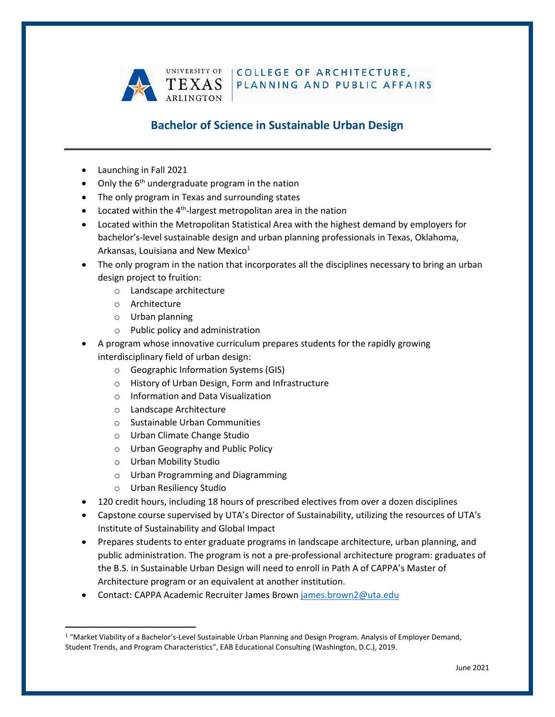

COLLEGE OF ARCHITECTURE. PLANNING AND PUBLIC AFFAIRS

# **Bachelor of Science in Sustainable Urban Design**

- Launching in Fall 2021
- Only the  $6<sup>th</sup>$  undergraduate program in the nation
- The only program in Texas and surrounding states
- $\bullet$  Located within the 4<sup>th</sup>-largest metropolitan area in the nation
- Located within the Metropolitan Statistical Area with the highest demand by employers for bachelor's-level sustainable design and urban planning professionals in Texas, Oklahoma, Arkansas, Louisiana and New Mexico $1$
- The only program in the nation that incorporates all the disciplines necessary to bring an urban design project to fruition:
	- o Landscape architecture
	- o Architecture
	- o Urban planning
	- o Public policy and administration
- A program whose innovative curriculum prepares students for the rapidly growing interdisciplinary field of urban design:
	- o Geographic Information Systems (GIS)
	- o History of Urban Design, Form and Infrastructure
	- o Information and Data Visualization
	- o Landscape Architecture
	- o Sustainable Urban Communities
	- o Urban Climate Change Studio
	- o Urban Geography and Public Policy
	- o Urban Mobility Studio
	- o Urban Programming and Diagramming
	- o Urban Resiliency Studio
- 120 credit hours, including 18 hours of prescribed electives from over a dozen disciplines
- Capstone course supervised by UTA's Director of Sustainability, utilizing the resources of UTA's Institute of Sustainability and Global Impact
- Prepares students to enter graduate programs in landscape architecture, urban planning, and public administration. The program is not a pre-professional architecture program: graduates of the B.S. in Sustainable Urban Design will need to enroll in Path A of CAPPA's Master of Architecture program or an equivalent at another institution.
- Contact: CAPPA Academic Recruiter James Brown [james.brown2@uta.edu](mailto:james.brown2@uta.edu)

<sup>&</sup>lt;sup>1</sup> "Market Viability of a Bachelor's-Level Sustainable Urban Planning and Design Program. Analysis of Employer Demand, Student Trends, and Program Characteristics", EAB Educational Consulting (Washington, D.C.), 2019.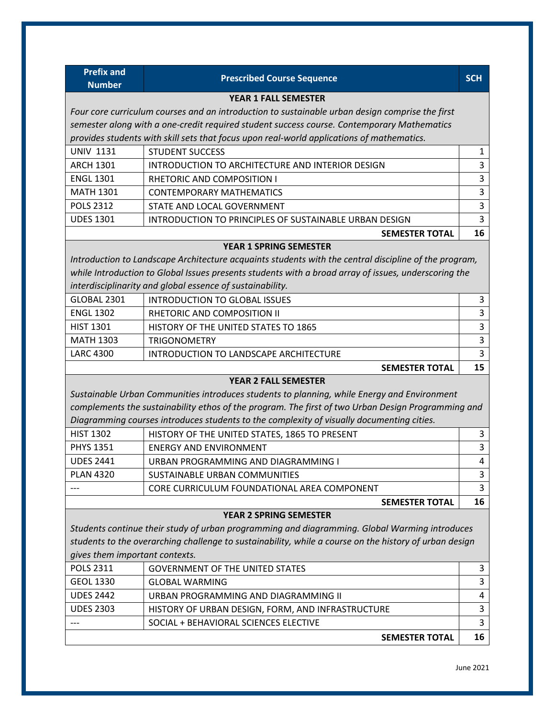| <b>Prefix and</b>                                                                               |                                                                                                        |              |
|-------------------------------------------------------------------------------------------------|--------------------------------------------------------------------------------------------------------|--------------|
| <b>Number</b>                                                                                   | <b>Prescribed Course Sequence</b>                                                                      | <b>SCH</b>   |
|                                                                                                 | <b>YEAR 1 FALL SEMESTER</b>                                                                            |              |
| Four core curriculum courses and an introduction to sustainable urban design comprise the first |                                                                                                        |              |
|                                                                                                 | semester along with a one-credit required student success course. Contemporary Mathematics             |              |
|                                                                                                 | provides students with skill sets that focus upon real-world applications of mathematics.              |              |
| <b>UNIV 1131</b>                                                                                | <b>STUDENT SUCCESS</b>                                                                                 | $\mathbf{1}$ |
| <b>ARCH 1301</b>                                                                                | INTRODUCTION TO ARCHITECTURE AND INTERIOR DESIGN                                                       | 3            |
| <b>ENGL 1301</b>                                                                                | <b>RHETORIC AND COMPOSITION I</b>                                                                      | 3            |
| <b>MATH 1301</b>                                                                                | <b>CONTEMPORARY MATHEMATICS</b>                                                                        | 3            |
| <b>POLS 2312</b>                                                                                | STATE AND LOCAL GOVERNMENT                                                                             | 3            |
| <b>UDES 1301</b>                                                                                | INTRODUCTION TO PRINCIPLES OF SUSTAINABLE URBAN DESIGN                                                 | 3            |
|                                                                                                 | <b>SEMESTER TOTAL</b>                                                                                  | 16           |
|                                                                                                 | <b>YEAR 1 SPRING SEMESTER</b>                                                                          |              |
|                                                                                                 | Introduction to Landscape Architecture acquaints students with the central discipline of the program,  |              |
|                                                                                                 | while Introduction to Global Issues presents students with a broad array of issues, underscoring the   |              |
|                                                                                                 | interdisciplinarity and global essence of sustainability.                                              |              |
| GLOBAL 2301                                                                                     | <b>INTRODUCTION TO GLOBAL ISSUES</b>                                                                   | 3            |
| <b>ENGL 1302</b>                                                                                | RHETORIC AND COMPOSITION II                                                                            | 3            |
| <b>HIST 1301</b>                                                                                | HISTORY OF THE UNITED STATES TO 1865                                                                   | 3            |
| <b>MATH 1303</b>                                                                                | <b>TRIGONOMETRY</b>                                                                                    | 3            |
| <b>LARC 4300</b>                                                                                | INTRODUCTION TO LANDSCAPE ARCHITECTURE                                                                 | 3            |
|                                                                                                 | <b>SEMESTER TOTAL</b>                                                                                  | 15           |
|                                                                                                 | <b>YEAR 2 FALL SEMESTER</b>                                                                            |              |
|                                                                                                 | Sustainable Urban Communities introduces students to planning, while Energy and Environment            |              |
|                                                                                                 | complements the sustainability ethos of the program. The first of two Urban Design Programming and     |              |
|                                                                                                 | Diagramming courses introduces students to the complexity of visually documenting cities.              |              |
| <b>HIST 1302</b>                                                                                | HISTORY OF THE UNITED STATES, 1865 TO PRESENT                                                          | 3            |
| <b>PHYS 1351</b>                                                                                | <b>ENERGY AND ENVIRONMENT</b>                                                                          | 3            |
| <b>UDES 2441</b>                                                                                | URBAN PROGRAMMING AND DIAGRAMMING I                                                                    | 4            |
| <b>PLAN 4320</b>                                                                                | SUSTAINABLE URBAN COMMUNITIES                                                                          | 3            |
|                                                                                                 | CORE CURRICULUM FOUNDATIONAL AREA COMPONENT                                                            | 3            |
|                                                                                                 | <b>SEMESTER TOTAL</b>                                                                                  | 16           |
|                                                                                                 | <b>YEAR 2 SPRING SEMESTER</b>                                                                          |              |
|                                                                                                 | Students continue their study of urban programming and diagramming. Global Warming introduces          |              |
|                                                                                                 | students to the overarching challenge to sustainability, while a course on the history of urban design |              |
| gives them important contexts.                                                                  |                                                                                                        |              |
| <b>POLS 2311</b>                                                                                | <b>GOVERNMENT OF THE UNITED STATES</b>                                                                 | 3            |
| <b>GEOL 1330</b>                                                                                | <b>GLOBAL WARMING</b>                                                                                  | 3            |
| <b>UDES 2442</b>                                                                                | URBAN PROGRAMMING AND DIAGRAMMING II                                                                   | 4            |
| <b>UDES 2303</b>                                                                                | HISTORY OF URBAN DESIGN, FORM, AND INFRASTRUCTURE                                                      | 3            |
|                                                                                                 | SOCIAL + BEHAVIORAL SCIENCES ELECTIVE                                                                  | 3            |
|                                                                                                 | <b>SEMESTER TOTAL</b>                                                                                  | 16           |